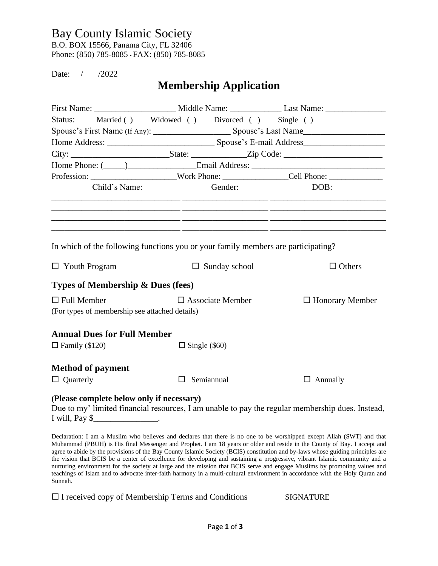### Bay County Islamic Society

B.O. BOX 15566, Panama City, FL 32406 Phone: (850) 785-8085 • FAX: (850) 785-8085

Date: / /2022

# **Membership Application**

| Status:                                                                           | Married () Widowed () Divorced () Single () |                                                                                                                                                                                       |  |  |
|-----------------------------------------------------------------------------------|---------------------------------------------|---------------------------------------------------------------------------------------------------------------------------------------------------------------------------------------|--|--|
|                                                                                   |                                             |                                                                                                                                                                                       |  |  |
|                                                                                   |                                             |                                                                                                                                                                                       |  |  |
|                                                                                   |                                             |                                                                                                                                                                                       |  |  |
|                                                                                   |                                             |                                                                                                                                                                                       |  |  |
|                                                                                   |                                             | Profession: ________________________Work Phone: ________________Cell Phone: ________________________                                                                                  |  |  |
| Child's Name:                                                                     | Gender:                                     | DOB:                                                                                                                                                                                  |  |  |
|                                                                                   |                                             | <u> 1990 - Jan James James, Amerikaansk politik (f. 1980)</u><br><u> 1989 - Andrea Santa Andrea Andrea Andrea Andrea Andrea Andrea Andrea Andrea Andrea Andrea Andrea Andrea Andr</u> |  |  |
|                                                                                   |                                             |                                                                                                                                                                                       |  |  |
| In which of the following functions you or your family members are participating? |                                             |                                                                                                                                                                                       |  |  |
| $\Box$ Youth Program                                                              | $\Box$ Sunday school                        | $\Box$ Others                                                                                                                                                                         |  |  |
| Types of Membership & Dues (fees)                                                 |                                             |                                                                                                                                                                                       |  |  |
| $\Box$ Full Member<br>(For types of membership see attached details)              | $\Box$ Associate Member                     | $\Box$ Honorary Member                                                                                                                                                                |  |  |
| <b>Annual Dues for Full Member</b>                                                |                                             |                                                                                                                                                                                       |  |  |
| $\Box$ Family (\$120)                                                             | $\Box$ Single (\$60)                        |                                                                                                                                                                                       |  |  |
| <b>Method of payment</b>                                                          |                                             |                                                                                                                                                                                       |  |  |
| $\Box$ Quarterly                                                                  | Semiannual<br>$\perp$                       | $\Box$ Annually                                                                                                                                                                       |  |  |
| (Please complete below only if necessary)                                         |                                             |                                                                                                                                                                                       |  |  |

Due to my' limited financial resources, I am unable to pay the regular membership dues. Instead, I will, Pay \$

Declaration: I am a Muslim who believes and declares that there is no one to be worshipped except Allah (SWT) and that Muhammad (PBUH) is His final Messenger and Prophet. I am 18 years or older and reside in the County of Bay. I accept and agree to abide by the provisions of the Bay County Islamic Society (BCIS) constitution and by-laws whose guiding principles are the vision that BCIS be a center of excellence for developing and sustaining a progressive, vibrant Islamic community and a nurturing environment for the society at large and the mission that BCIS serve and engage Muslims by promoting values and teachings of Islam and to advocate inter-faith harmony in a multi-cultural environment in accordance with the Holy Quran and Sunnah.

 $\Box$  I received copy of Membership Terms and Conditions SIGNATURE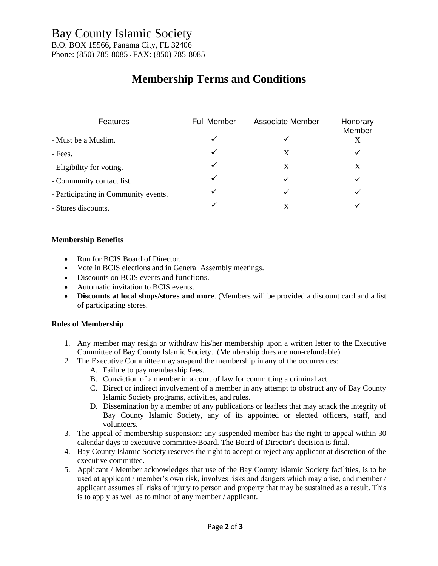B.O. BOX 15566, Panama City, FL 32406 Phone: (850) 785-8085 • FAX: (850) 785-8085

# **Membership Terms and Conditions**

| <b>Features</b>                      | <b>Full Member</b> | <b>Associate Member</b> | Honorary<br>Member |
|--------------------------------------|--------------------|-------------------------|--------------------|
| - Must be a Muslim.                  |                    |                         | X                  |
| - Fees.                              |                    | X                       |                    |
| - Eligibility for voting.            |                    | X                       | X                  |
| - Community contact list.            |                    |                         |                    |
| - Participating in Community events. |                    |                         |                    |
| - Stores discounts.                  |                    | X                       |                    |

#### **Membership Benefits**

- Run for BCIS Board of Director.
- Vote in BCIS elections and in General Assembly meetings.
- Discounts on BCIS events and functions.
- Automatic invitation to BCIS events.
- **Discounts at local shops/stores and more**. (Members will be provided a discount card and a list of participating stores.

#### **Rules of Membership**

- 1. Any member may resign or withdraw his/her membership upon a written letter to the Executive Committee of Bay County Islamic Society. (Membership dues are non-refundable)
- 2. The Executive Committee may suspend the membership in any of the occurrences:
	- A. Failure to pay membership fees.
	- B. Conviction of a member in a court of law for committing a criminal act.
	- C. Direct or indirect involvement of a member in any attempt to obstruct any of Bay County Islamic Society programs, activities, and rules.
	- D. Dissemination by a member of any publications or leaflets that may attack the integrity of Bay County Islamic Society, any of its appointed or elected officers, staff, and volunteers.
- 3. The appeal of membership suspension: any suspended member has the right to appeal within 30 calendar days to executive committee/Board. The Board of Director's decision is final.
- 4. Bay County Islamic Society reserves the right to accept or reject any applicant at discretion of the executive committee.
- 5. Applicant / Member acknowledges that use of the Bay County Islamic Society facilities, is to be used at applicant / member's own risk, involves risks and dangers which may arise, and member / applicant assumes all risks of injury to person and property that may be sustained as a result. This is to apply as well as to minor of any member / applicant.